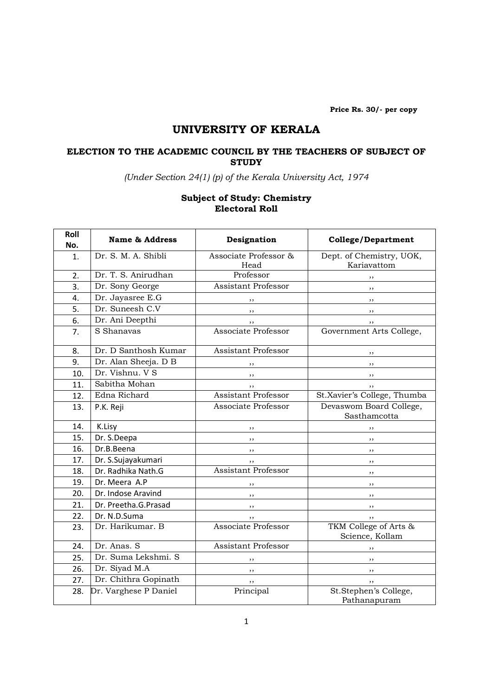Price Rs. 30/- per copy

# UNIVERSITY OF KERALA

### ELECTION TO THE ACADEMIC COUNCIL BY THE TEACHERS OF SUBJECT OF **STUDY**

(Under Section 24(1) (p) of the Kerala University Act, 1974

#### Subject of Study: Chemistry Electoral Roll

| Roll<br>No. | <b>Name &amp; Address</b> | Designation                   | <b>College/Department</b>                |
|-------------|---------------------------|-------------------------------|------------------------------------------|
| 1.          | Dr. S. M. A. Shibli       | Associate Professor &<br>Head | Dept. of Chemistry, UOK,<br>Kariavattom  |
| 2.          | Dr. T. S. Anirudhan       | Professor                     | , ,                                      |
| 3.          | Dr. Sony George           | <b>Assistant Professor</b>    | , ,                                      |
| 4.          | Dr. Jayasree E.G          | ,,                            | , ,                                      |
| 5.          | Dr. Suneesh C.V           | ,,                            | ,,                                       |
| 6.          | Dr. Ani Deepthi           | ,,                            | , ,                                      |
| 7.          | S Shanavas                | Associate Professor           | Government Arts College,                 |
| 8.          | Dr. D Santhosh Kumar      | <b>Assistant Professor</b>    | , ,                                      |
| 9.          | Dr. Alan Sheeja. D B      | ,,                            | ,,                                       |
| 10.         | Dr. Vishnu. V S           | ,,                            | , ,                                      |
| 11.         | Sabitha Mohan             | ,,                            |                                          |
| 12.         | Edna Richard              | Assistant Professor           | St.Xavier's College, Thumba              |
| 13.         | P.K. Reji                 | Associate Professor           | Devaswom Board College,<br>Sasthamcotta  |
| 14.         | K.Lisy                    | ,,                            | ,,                                       |
| 15.         | Dr. S.Deepa               | ,,                            | ,,                                       |
| 16.         | Dr.B.Beena                | ,,                            | , ,                                      |
| 17.         | Dr. S.Sujayakumari        | ,,                            | ,,                                       |
| 18.         | Dr. Radhika Nath.G        | Assistant Professor           | , ,                                      |
| 19.         | Dr. Meera A.P             | ,,                            | , ,                                      |
| 20.         | Dr. Indose Aravind        | ,,                            | ,,                                       |
| 21.         | Dr. Preetha.G.Prasad      | ,,                            | , ,                                      |
| 22.         | Dr. N.D.Suma              | ,,                            | , ,                                      |
| 23.         | Dr. Harikumar. B          | Associate Professor           | TKM College of Arts &<br>Science, Kollam |
| 24.         | Dr. Anas. S               | <b>Assistant Professor</b>    | ,,                                       |
| 25.         | Dr. Suma Lekshmi. S       |                               | , ,                                      |
| 26.         | Dr. Siyad M.A             | ,,                            | , ,                                      |
| 27.         | Dr. Chithra Gopinath      | ,,                            | ,,                                       |
| 28.         | Dr. Varghese P Daniel     | Principal                     | St.Stephen's College,<br>Pathanapuram    |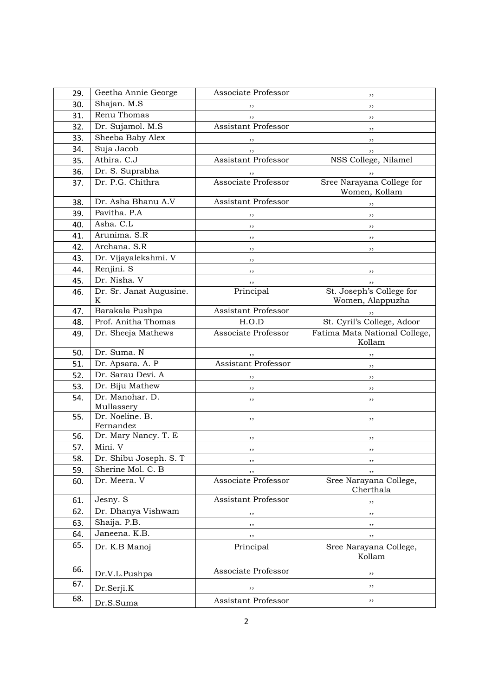| 29.        | Geetha Annie George           | Associate Professor        | ,,                                           |
|------------|-------------------------------|----------------------------|----------------------------------------------|
| 30.        | Shajan. M.S                   | ,,                         | ,,                                           |
| 31.        | Renu Thomas                   | ,,                         | ,,                                           |
| 32.        | Dr. Sujamol. M.S.             | <b>Assistant Professor</b> | ,,                                           |
| 33.        | Sheeba Baby Alex              | ,,                         | ,,                                           |
| 34.        | Suja Jacob                    | ,,                         | ,,                                           |
| 35.        | Athira. C.J                   | <b>Assistant Professor</b> | NSS College, Nilamel                         |
| 36.        | Dr. S. Suprabha               | ,,                         | ,,                                           |
| 37.        | Dr. P.G. Chithra              | Associate Professor        | Sree Narayana College for<br>Women, Kollam   |
| 38.        | Dr. Asha Bhanu A.V            | <b>Assistant Professor</b> | ,,                                           |
| 39.        | Pavitha. P.A                  | ,,                         | ,,                                           |
| 40.        | Asha. C.L                     | ,,                         | ,,                                           |
| 41.        | Arunima. S.R                  | ,,                         | ,,                                           |
| 42.        | Archana. S.R                  | ,,                         | ,,                                           |
| 43.        | Dr. Vijayalekshmi. V          | ,,                         |                                              |
| 44.        | Renjini. S                    | ,,                         | ,,                                           |
| 45.        | Dr. Nisha, V                  | ,,                         |                                              |
| 46.        | Dr. Sr. Janat Augusine.<br>K  | Principal                  | St. Joseph's College for<br>Women, Alappuzha |
| 47.        | Barakala Pushpa               | <b>Assistant Professor</b> | ,,                                           |
| 48.        | Prof. Anitha Thomas           | H.O.D                      | St. Cyril's College, Adoor                   |
| 49.        | Dr. Sheeja Mathews            | Associate Professor        | Fatima Mata National College,<br>Kollam      |
| 50.        | Dr. Suma. N                   | ,,                         | ,,                                           |
| 51.        | Dr. Apsara. A. P              | <b>Assistant Professor</b> | ,,                                           |
| 52.        | Dr. Sarau Devi. A             | ,,                         | , ,                                          |
| 53.        | Dr. Biju Mathew               | ,,                         | ,,                                           |
| 54.        | Dr. Manohar. D.<br>Mullassery | ,,                         | ,,                                           |
| 55.        | Dr. Noeline. B.<br>Fernandez  | ,,                         | ,,                                           |
| 56.        | Dr. Mary Nancy. T. E          | ,,                         | ,,                                           |
| 57.        | Mini. V                       | ,,                         | ,,                                           |
| 58.        | Dr. Shibu Joseph. S. T        | ,,                         | ,,                                           |
| 59.        | Sherine Mol. C. B             | ,,                         | ,,                                           |
| 60.        | Dr. Meera. V                  | Associate Professor        | Sree Narayana College,<br>Cherthala          |
| 61.        | Jesny. S                      | Assistant Professor        | ,,                                           |
| 62.        | Dr. Dhanya Vishwam            | ,,                         | ,,                                           |
| 63.        | Shaija. P.B.                  | ,,                         | ,,                                           |
| 64.        | Janeena. K.B.                 | $, \,$                     | ,,                                           |
| 65.        | Dr. K.B Manoj                 | Principal                  | Sree Narayana College,<br>Kollam             |
| 66.        |                               |                            |                                              |
|            | Dr.V.L.Pushpa                 | Associate Professor        | ,,                                           |
| 67.<br>68. | Dr.Serji.K                    | ,,                         | ,,                                           |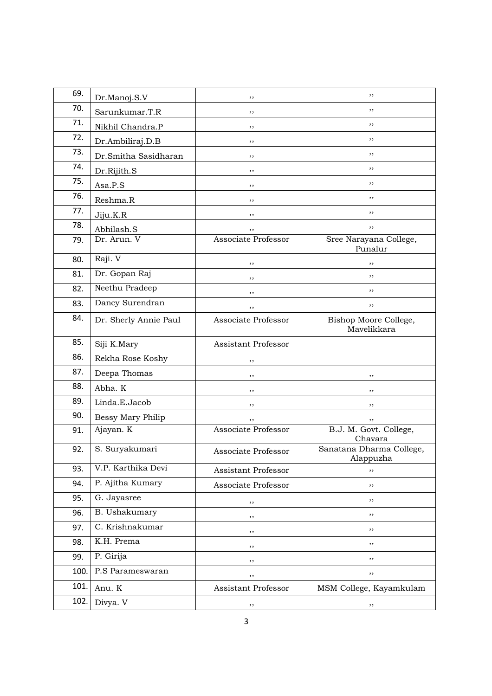| 69.  | Dr.Manoj.S.V          | ,,                  | ,,                                    |
|------|-----------------------|---------------------|---------------------------------------|
| 70.  | Sarunkumar.T.R        | ,,                  | ,,                                    |
| 71.  | Nikhil Chandra.P      | ,,                  | ,,                                    |
| 72.  | Dr.Ambiliraj.D.B      | ,,                  | ,,                                    |
| 73.  | Dr.Smitha Sasidharan  | ,,                  | ,,                                    |
| 74.  | Dr.Rijith.S           | ,,                  | ,,                                    |
| 75.  | Asa.P.S               | ,,                  | ,,                                    |
| 76.  | Reshma.R              | ,,                  | ,,                                    |
| 77.  | Jiju.K.R              | ,,                  | ,,                                    |
| 78.  | Abhilash.S            | ,,                  | ,,                                    |
| 79.  | Dr. Arun. V           | Associate Professor | Sree Narayana College,<br>Punalur     |
| 80.  | Raji. V               | ,,                  | ,,                                    |
| 81.  | Dr. Gopan Raj         | , ,                 | ,,                                    |
| 82.  | Neethu Pradeep        | ,,                  | ,,                                    |
| 83.  | Dancy Surendran       | ,,                  | ,,                                    |
| 84.  | Dr. Sherly Annie Paul | Associate Professor | Bishop Moore College,<br>Mavelikkara  |
| 85.  | Siji K.Mary           | Assistant Professor |                                       |
| 86.  | Rekha Rose Koshy      | ,,                  |                                       |
| 87.  | Deepa Thomas          | ,,                  | ,,                                    |
| 88.  | Abha. K               | ,,                  | ,,                                    |
| 89.  | Linda.E.Jacob         | ,,                  | ,,                                    |
| 90.  | Bessy Mary Philip     | ,,                  | ,,                                    |
| 91.  | Ajayan. K             | Associate Professor | B.J. M. Govt. College,<br>Chavara     |
| 92.  | S. Suryakumari        | Associate Professor | Sanatana Dharma College,<br>Alappuzha |
| 93.  | V.P. Karthika Devi    | Assistant Professor | ,,                                    |
| 94.  | P. Ajitha Kumary      | Associate Professor | ,,                                    |
| 95.  | G. Jayasree           | ,,                  | ,,                                    |
| 96.  | B. Ushakumary         | ,,                  | ,,                                    |
| 97.  | C. Krishnakumar       | ,,                  | ,,                                    |
| 98.  | K.H. Prema            | ,,                  | ,,                                    |
| 99.  | P. Girija             | ,,                  | ,,                                    |
| 100. | P.S Parameswaran      | ,,                  | ,,                                    |
| 101. | Anu. K                | Assistant Professor | MSM College, Kayamkulam               |
| 102. | Divya. V              | ,,                  | ,,                                    |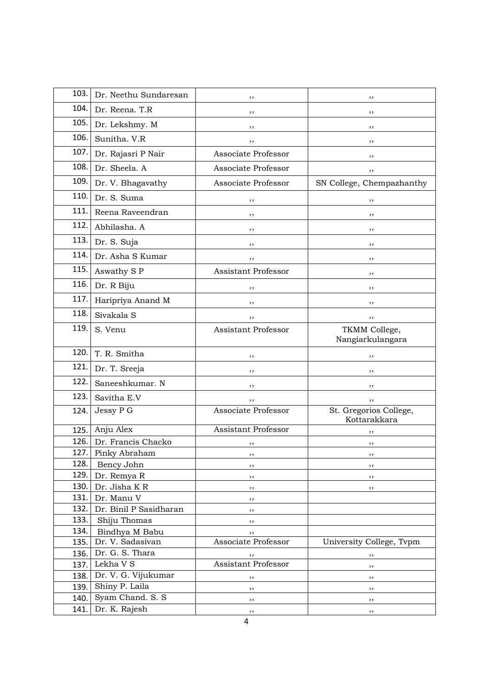| 103.         | Dr. Neethu Sundaresan              | ,,                         | ,,                                     |
|--------------|------------------------------------|----------------------------|----------------------------------------|
| 104.         | Dr. Reena. T.R                     | ,,                         | ,,                                     |
| 105.         | Dr. Lekshmy. M                     | ,,                         | ,,                                     |
| 106.         | Sunitha. V.R                       | ,,                         | , ,                                    |
| 107.         | Dr. Rajasri P Nair                 | Associate Professor        | ,,                                     |
| 108.         | Dr. Sheela. A                      | Associate Professor        | ,,                                     |
| 109.         | Dr. V. Bhagavathy                  | Associate Professor        | SN College, Chempazhanthy              |
| 110.         | Dr. S. Suma                        | ,,                         | ,,                                     |
| 111.         | Reena Raveendran                   | ,,                         | ,,                                     |
| 112.         | Abhilasha. A                       | ,,                         | ,,                                     |
| 113.         | Dr. S. Suja                        | ,,                         | ,,                                     |
| 114.         | Dr. Asha S Kumar                   | ,,                         | ,,                                     |
| 115.         | Aswathy S P                        | <b>Assistant Professor</b> | ,,                                     |
| 116.         | Dr. R Biju                         | ,,                         | ,,                                     |
| 117.         | Haripriya Anand M                  | ,,                         | ,,                                     |
| 118.         | Sivakala S                         | ,,                         | ,,                                     |
| 119.         | S. Venu                            | Assistant Professor        | TKMM College,<br>Nangiarkulangara      |
| 120.         | T. R. Smitha                       | ,,                         | ,,                                     |
| 121.         | Dr. T. Sreeja                      | ,,                         | ,,                                     |
| 122.         | Saneeshkumar. N                    | ,,                         | ,,                                     |
| 123.         | Savitha E.V                        | ,,                         | ,,                                     |
| 124.         | Jessy P G                          | Associate Professor        | St. Gregorios College,<br>Kottarakkara |
| 125.         | Anju Alex                          | <b>Assistant Professor</b> | ,,                                     |
| 126.         | Dr. Francis Chacko                 |                            | ,,                                     |
| 127.         | Pinky Abraham                      | ,,                         | ,,                                     |
| 128.         | Bency John                         | ,,                         | ,,                                     |
| 129.         | Dr. Remya R                        | ,,                         | $, \,$                                 |
| 130.         | Dr. Jisha KR                       | ,,                         | ,,                                     |
| 131.         | Dr. Manu V                         | ,,                         |                                        |
| 132.         | Dr. Binil P Sasidharan             | ,,                         |                                        |
| 133.<br>134. | Shiju Thomas                       | ,,                         |                                        |
| 135.         | Bindhya M Babu<br>Dr. V. Sadasivan | ,,<br>Associate Professor  | University College, Tvpm               |
| 136.         | Dr. G. S. Thara                    |                            |                                        |
| 137.         | Lekha V S                          | ,,<br>Assistant Professor  | ,,                                     |
| 138.         | Dr. V. G. Vijukumar                |                            | ,,                                     |
| 139.         | Shiny P. Laila                     | $, \,$<br>, ,              | ,,<br>, ,                              |
| 140.         | Syam Chand. S. S                   | ,,                         | ,,                                     |
| 141.         | Dr. K. Rajesh                      | $, \,$                     | $, \,$                                 |
|              |                                    |                            |                                        |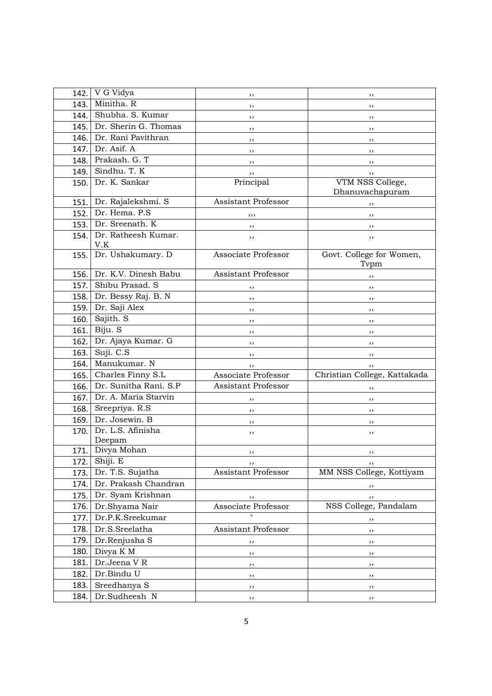| 142. | V G Vidya                   | ,,                         | ,,                                  |
|------|-----------------------------|----------------------------|-------------------------------------|
| 143. | Minitha. R                  | ,,                         | ,,                                  |
| 144. | Shubha. S. Kumar            | ,,                         | ,,                                  |
| 145. | Dr. Sherin G. Thomas        | ,,                         | ,,                                  |
| 146. | Dr. Rani Pavithran          | ,,                         | ,,                                  |
| 147. | Dr. Asif. A                 | ,,                         | ,,                                  |
| 148. | Prakash. G. T               | ,,                         | ,,                                  |
| 149. | Sindhu. T. K                | ,,                         | ,,                                  |
| 150. | Dr. K. Sankar               | Principal                  | VTM NSS College,<br>Dhanuvachapuram |
| 151. | Dr. Rajalekshmi. S          | <b>Assistant Professor</b> | ,,                                  |
| 152. | Dr. Hema. P.S               | ,,,                        | ,,                                  |
| 153. | Dr. Sreenath. K             | ,,                         | ,,                                  |
| 154. | Dr. Ratheesh Kumar.<br>V.K  | ,,                         | ,,                                  |
| 155. | Dr. Ushakumary. D           | Associate Professor        | Govt. College for Women,<br>Tvpm    |
| 156. | Dr. K.V. Dinesh Babu        | <b>Assistant Professor</b> | ,,                                  |
| 157. | Shibu Prasad. S             | ,,                         | ,,                                  |
| 158. | Dr. Bessy Raj. B. N         | ,,                         | ,,                                  |
| 159. | Dr. Saji Alex               | ,,                         | ,,                                  |
| 160. | Sajith. S                   | ,,                         | ,,                                  |
| 161. | Biju. S                     | ,,                         | ,,                                  |
| 162. | Dr. Ajaya Kumar. G          | ,,                         | ,,                                  |
| 163. | Suji. C.S                   | ,,                         | ,,                                  |
| 164. | Manukumar. N                | ,,                         | ,,                                  |
| 165. | Charles Finny S.L           | Associate Professor        | Christian College, Kattakada        |
| 166. | Dr. Sunitha Rani. S.P       | <b>Assistant Professor</b> | ,,                                  |
| 167. | Dr. A. Maria Starvin        | ,,                         | ,,                                  |
| 168. | Sreepriya. R.S.             | ,,                         | ,,                                  |
| 169. | Dr. Josewin. B              | ,,                         | ,,                                  |
| 170. | Dr. L.S. Afinisha<br>Deepam | ,,                         | ,,                                  |
| 171. | Divya Mohan                 | ,,                         | ,,                                  |
| 172. | Shiji. E                    | ,,                         | ,,                                  |
| 173. | Dr. T.S. Sujatha            | Assistant Professor        | MM NSS College, Kottiyam            |
| 174. | Dr. Prakash Chandran        |                            | ,,                                  |
| 175. | Dr. Syam Krishnan           |                            | ,,                                  |
| 176. | Dr.Shyama Nair              | Associate Professor        | NSS College, Pandalam               |
| 177. | Dr.P.K.Sreekumar            |                            | ,,                                  |
| 178. | Dr.S.Sreelatha              | Assistant Professor        | ,,                                  |
| 179. | Dr.Renjusha S               | ,,                         | ,,                                  |
| 180. | Divya K M                   | ,,                         | ,,                                  |
| 181. | Dr.Jeena VR                 | ,,                         | ,,                                  |
| 182. | Dr.Bindu U                  | ,,                         | ,,                                  |
| 183. | Sreedhanya S                | , ,                        | ,,                                  |
| 184. | Dr.Sudheesh N               | ,,                         | $, \,$                              |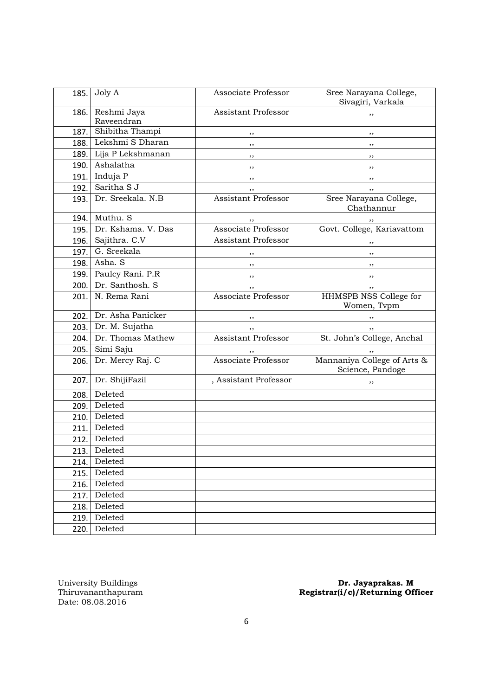| 185. | Joly A                    | Associate Professor        | Sree Narayana College,<br>Sivagiri, Varkala     |
|------|---------------------------|----------------------------|-------------------------------------------------|
| 186. | Reshmi Jaya<br>Raveendran | <b>Assistant Professor</b> | ,,                                              |
| 187. | Shibitha Thampi           | ,,                         | ,,                                              |
| 188. | Lekshmi S Dharan          | , ,                        | ,,                                              |
|      | 189. Lija P Lekshmanan    | $, \,$                     | ,,                                              |
| 190. | Ashalatha                 | ,,                         | ,,                                              |
| 191. | Induja P                  | , ,                        | $, \,$                                          |
| 192. | Saritha S J               | ,,                         | , ,                                             |
| 193. | Dr. Sreekala. N.B         | <b>Assistant Professor</b> | Sree Narayana College,<br>Chathannur            |
|      | 194. Muthu. S             |                            | $, \,$                                          |
| 195. | Dr. Kshama. V. Das        | Associate Professor        | Govt. College, Kariavattom                      |
|      | 196. Sajithra. C.V        | <b>Assistant Professor</b> | , ,                                             |
| 197. | G. Sreekala               | ,,                         | $, \,$                                          |
| 198. | Asha. S                   | $, \, \,$                  | $, \,$                                          |
|      | 199. Paulcy Rani. P.R     | $, \, , \,$                | $, \,$                                          |
|      | 200. Dr. Santhosh. S      | ,,                         | ,,                                              |
| 201. | N. Rema Rani              | Associate Professor        | HHMSPB NSS College for<br>Women, Tvpm           |
| 202. | Dr. Asha Panicker         | , ,                        | $, \,$                                          |
|      |                           |                            |                                                 |
|      | 203. Dr. M. Sujatha       | , ,                        | ,,                                              |
| 204. | Dr. Thomas Mathew         | <b>Assistant Professor</b> | St. John's College, Anchal                      |
| 205. | Simi Saju                 |                            |                                                 |
| 206. | Dr. Mercy Raj. C          | Associate Professor        | Mannaniya College of Arts &<br>Science, Pandoge |
| 207. | Dr. ShijiFazil            | , Assistant Professor      | ,,                                              |
| 208. | Deleted                   |                            |                                                 |
| 209. | Deleted                   |                            |                                                 |
| 210. | Deleted                   |                            |                                                 |
| 211. | Deleted                   |                            |                                                 |
| 212. | Deleted                   |                            |                                                 |
| 213. | Deleted                   |                            |                                                 |
| 214. | Deleted                   |                            |                                                 |
| 215. | Deleted                   |                            |                                                 |
| 216. | Deleted                   |                            |                                                 |
| 217. | Deleted                   |                            |                                                 |
| 218. | Deleted                   |                            |                                                 |
| 219. | Deleted<br>Deleted        |                            |                                                 |

University Buildings<br>Thiruvananthapuram<br>Date: 08.08.2016

#### University Buildings **Dr. Jayaprakas. M** Thiruvananthapuram Registrar(i/c)/Returning Officer